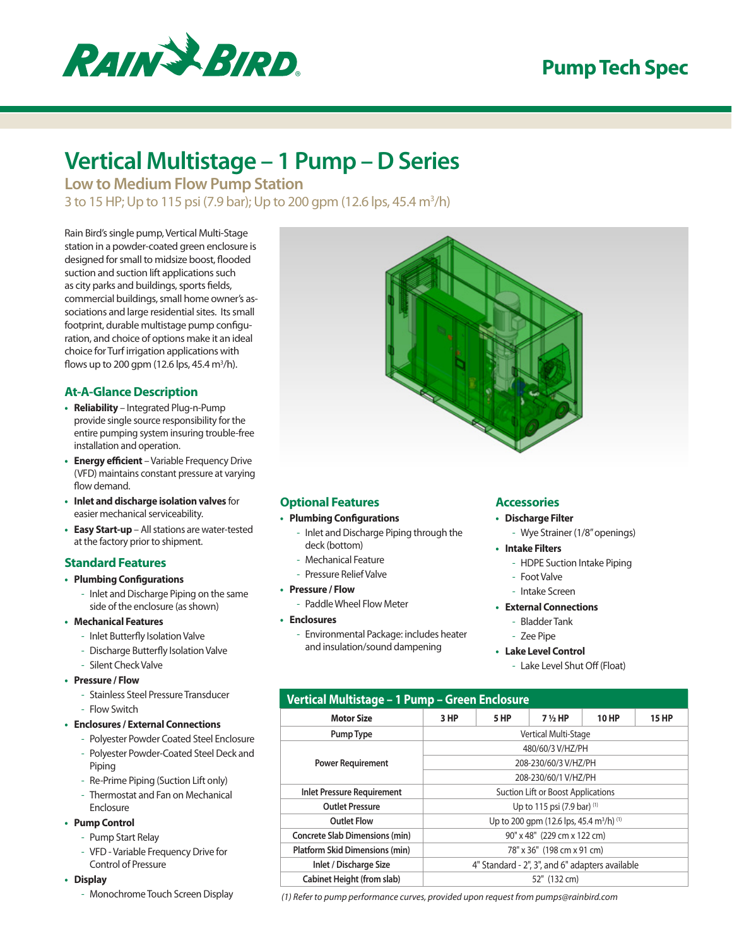

# **Pump Tech Spec**

# **Vertical Multistage – 1 Pump – D Series**

**Low to Medium Flow Pump Station** 3 to 15 HP; Up to 115 psi (7.9 bar); Up to 200 gpm (12.6 lps, 45.4 m<sup>3</sup>/h)

Rain Bird's single pump, Vertical Multi-Stage station in a powder-coated green enclosure is designed for small to midsize boost, flooded suction and suction lift applications such as city parks and buildings, sports fields, commercial buildings, small home owner's associations and large residential sites. Its small footprint, durable multistage pump configuration, and choice of options make it an ideal choice for Turf irrigation applications with flows up to 200 gpm (12.6 lps, 45.4 m<sup>3</sup>/h).

#### **At-A-Glance Description**

- **• Reliability** Integrated Plug-n-Pump provide single source responsibility for the entire pumping system insuring trouble-free installation and operation.
- **• Energy efficient** Variable Frequency Drive (VFD) maintains constant pressure at varying flow demand.
- **• Inlet and discharge isolation valves** for easier mechanical serviceability.
- **• Easy Start-up** All stations are water-tested at the factory prior to shipment.

#### **Standard Features**

- **• Plumbing Configurations**
	- Inlet and Discharge Piping on the same side of the enclosure (as shown)
- **• Mechanical Features**
	- Inlet Butterfly Isolation Valve
	- Discharge Butterfly Isolation Valve
	- Silent Check Valve
- **• Pressure / Flow**
	- Stainless Steel Pressure Transducer - Flow Switch
- **• Enclosures / External Connections**
	- Polyester Powder Coated Steel Enclosure
	- Polyester Powder-Coated Steel Deck and Piping
	- Re-Prime Piping (Suction Lift only)
	- Thermostat and Fan on Mechanical Enclosure
- **• Pump Control**
	- Pump Start Relay
	- VFD Variable Frequency Drive for Control of Pressure
- **• Display**
	- Monochrome Touch Screen Display



### **Optional Features**

#### **• Plumbing Configurations**

- Inlet and Discharge Piping through the deck (bottom)
- Mechanical Feature
- Pressure Relief Valve
- **• Pressure / Flow**
	- Paddle Wheel Flow Meter
- **• Enclosures**
	- Environmental Package: includes heater and insulation/sound dampening

#### **Accessories**

- **• Discharge Filter**
	- Wye Strainer (1/8" openings)
- **• Intake Filters**
	- HDPE Suction Intake Piping
	- Foot Valve
	- Intake Screen
- **• External Connections**
	- Bladder Tank
	- Zee Pipe
- **• Lake Level Control**
	- Lake Level Shut Off (Float)

| Vertical Multistage - 1 Pump - Green Enclosure |                                                      |      |                   |              |              |
|------------------------------------------------|------------------------------------------------------|------|-------------------|--------------|--------------|
| <b>Motor Size</b>                              | 3 HP                                                 | 5 HP | $7\frac{1}{2}$ HP | <b>10 HP</b> | <b>15 HP</b> |
| Pump Type                                      | Vertical Multi-Stage                                 |      |                   |              |              |
| <b>Power Requirement</b>                       | 480/60/3 V/HZ/PH                                     |      |                   |              |              |
|                                                | 208-230/60/3 V/HZ/PH                                 |      |                   |              |              |
|                                                | 208-230/60/1 V/HZ/PH                                 |      |                   |              |              |
| <b>Inlet Pressure Requirement</b>              | <b>Suction Lift or Boost Applications</b>            |      |                   |              |              |
| <b>Outlet Pressure</b>                         | Up to 115 psi $(7.9 \text{ bar})$ <sup>(1)</sup>     |      |                   |              |              |
| <b>Outlet Flow</b>                             | Up to 200 qpm (12.6 lps, 45.4 m <sup>3</sup> /h) (1) |      |                   |              |              |
| <b>Concrete Slab Dimensions (min)</b>          | 90" x 48" (229 cm x 122 cm)                          |      |                   |              |              |
| Platform Skid Dimensions (min)                 | 78" x 36" (198 cm x 91 cm)                           |      |                   |              |              |
| Inlet / Discharge Size                         | 4" Standard - 2", 3", and 6" adapters available      |      |                   |              |              |
| <b>Cabinet Height (from slab)</b>              | 52" (132 cm)                                         |      |                   |              |              |

*(1) Refer to pump performance curves, provided upon request from pumps@rainbird.com*

- 
- 
- 
-